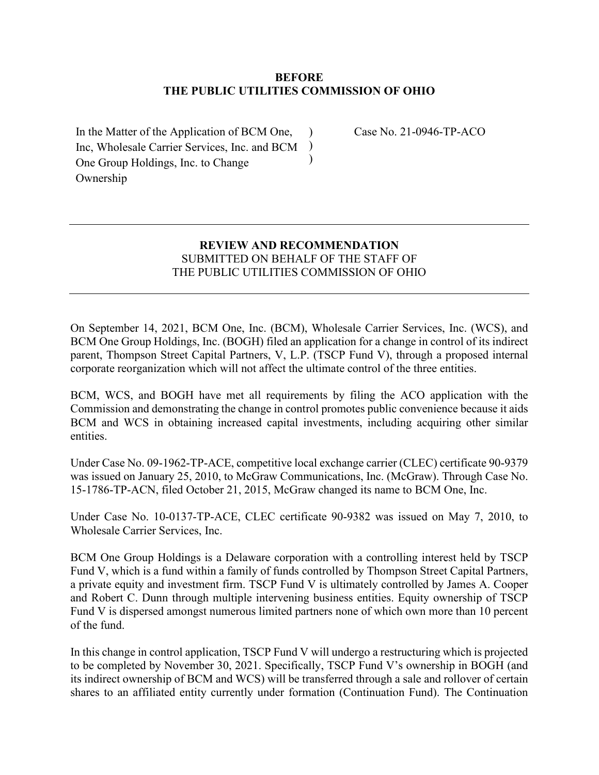## **BEFORE THE PUBLIC UTILITIES COMMISSION OF OHIO**

) )  $\lambda$ 

In the Matter of the Application of BCM One, Inc, Wholesale Carrier Services, Inc. and BCM One Group Holdings, Inc. to Change Ownership

Case No. 21-0946-TP-ACO

## **REVIEW AND RECOMMENDATION** SUBMITTED ON BEHALF OF THE STAFF OF THE PUBLIC UTILITIES COMMISSION OF OHIO

On September 14, 2021, BCM One, Inc. (BCM), Wholesale Carrier Services, Inc. (WCS), and BCM One Group Holdings, Inc. (BOGH) filed an application for a change in control of its indirect parent, Thompson Street Capital Partners, V, L.P. (TSCP Fund V), through a proposed internal corporate reorganization which will not affect the ultimate control of the three entities.

BCM, WCS, and BOGH have met all requirements by filing the ACO application with the Commission and demonstrating the change in control promotes public convenience because it aids BCM and WCS in obtaining increased capital investments, including acquiring other similar entities.

Under Case No. 09-1962-TP-ACE, competitive local exchange carrier (CLEC) certificate 90-9379 was issued on January 25, 2010, to McGraw Communications, Inc. (McGraw). Through Case No. 15-1786-TP-ACN, filed October 21, 2015, McGraw changed its name to BCM One, Inc.

Under Case No. 10-0137-TP-ACE, CLEC certificate 90-9382 was issued on May 7, 2010, to Wholesale Carrier Services, Inc.

BCM One Group Holdings is a Delaware corporation with a controlling interest held by TSCP Fund V, which is a fund within a family of funds controlled by Thompson Street Capital Partners, a private equity and investment firm. TSCP Fund V is ultimately controlled by James A. Cooper and Robert C. Dunn through multiple intervening business entities. Equity ownership of TSCP Fund V is dispersed amongst numerous limited partners none of which own more than 10 percent of the fund.

In this change in control application, TSCP Fund V will undergo a restructuring which is projected to be completed by November 30, 2021. Specifically, TSCP Fund V's ownership in BOGH (and its indirect ownership of BCM and WCS) will be transferred through a sale and rollover of certain shares to an affiliated entity currently under formation (Continuation Fund). The Continuation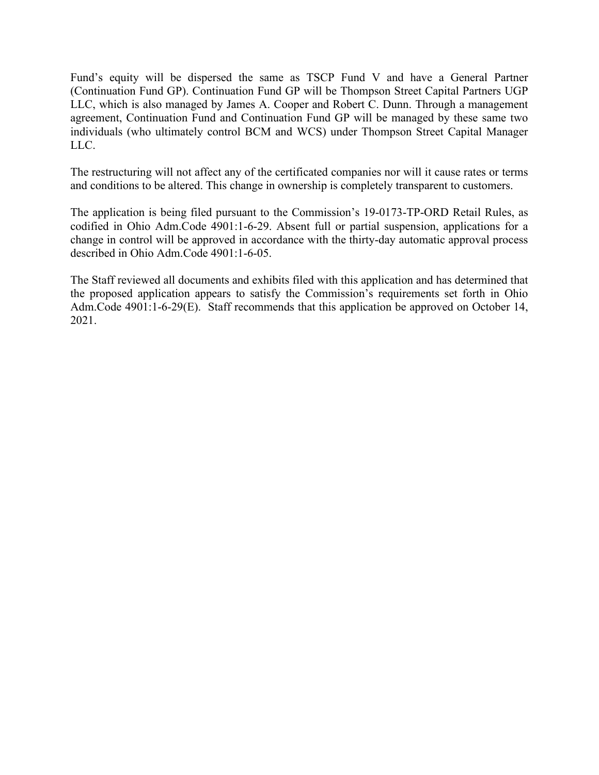Fund's equity will be dispersed the same as TSCP Fund V and have a General Partner (Continuation Fund GP). Continuation Fund GP will be Thompson Street Capital Partners UGP LLC, which is also managed by James A. Cooper and Robert C. Dunn. Through a management agreement, Continuation Fund and Continuation Fund GP will be managed by these same two individuals (who ultimately control BCM and WCS) under Thompson Street Capital Manager LLC.

The restructuring will not affect any of the certificated companies nor will it cause rates or terms and conditions to be altered. This change in ownership is completely transparent to customers.

The application is being filed pursuant to the Commission's 19-0173-TP-ORD Retail Rules, as codified in Ohio Adm.Code 4901:1-6-29. Absent full or partial suspension, applications for a change in control will be approved in accordance with the thirty-day automatic approval process described in Ohio Adm.Code 4901:1-6-05.

The Staff reviewed all documents and exhibits filed with this application and has determined that the proposed application appears to satisfy the Commission's requirements set forth in Ohio Adm.Code 4901:1-6-29(E). Staff recommends that this application be approved on October 14, 2021.